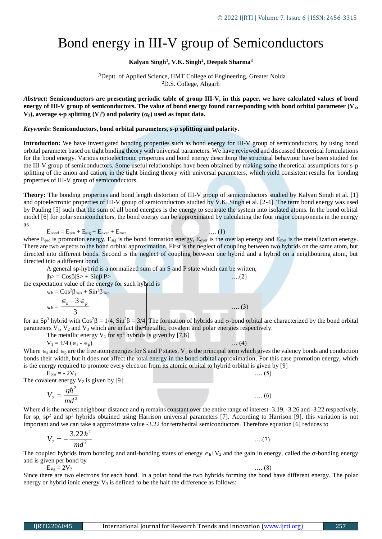## Bond energy in III-V group of Semiconductors

## **Kalyan Singh<sup>1</sup> , V.K. Singh<sup>2</sup> , Deepak Sharma<sup>3</sup>**

<sup>1,3</sup>Deptt. of Applied Science, IIMT College of Engineering, Greater Noida <sup>2</sup>D.S. College, Aligarh

*Abstract***: Semiconductors are presenting periodic table of group III-V, in this paper, we have calculated values of bond energy of III-V group of semiconductors. The value of bond energy found corresponding with bond orbital parameter (V2, V**<sub>3</sub>), average s-p splitting (V<sub>1</sub><sup>s</sup>) and polarity ( $\alpha_p$ ) used as input data.

## *Keywords***: Semiconductors, bond orbital parameters, s-p splitting and polarity.**

**Introduction:** We have investigated bonding properties such as bond energy for III-V group of semiconductors, by using bond orbital parameter based on tight binding theory with universal parameters. We have reviewed and discussed theoretical formulations for the bond energy. Various optoelectronic properties and bond energy describing the structural behaviour have been studied for the III-V group of semiconductors. Some useful relationships have been obtained by making some theoretical assumptions for s-p splitting of the anion and cation, in the tight binding theory with universal parameters, which yield consistent results for bonding properties of III-V group of semiconductors.

**Theory:** The bonding properties and bond length distortion of III-V group of semiconductors studied by Kalyan Singh et al. [1] and optoelectronic properties of III-V group of semiconductors studied by V.K. Singh et al. [2-4]. The term bond energy was used by Pauling [5] such that the sum of all bond energies is the energy to separate the system into isolated atoms. In the bond orbital model [6] for polar semiconductors, the bond energy can be approximated by calculating the four major components in the energy as

$$
E_{bond} = E_{pro} + E_{sig} + E_{over} + E_{met}
$$
  
where  $E_{pro}$  is promotion energy,  $E_{sig}$  is the bond formation energy,  $E_{over}$ 

 $E_{\text{F}}$  is the overlap energy and  $E_{\text{met}}$  is the metallization energy. There are two aspects to the bond orbital approximation. First is the neglect of coupling between two hybrids on the same atom, but directed into different bonds. Second is the neglect of coupling between one hybrid and a hybrid on a neighbouring atom, but directed into a different bond.

 $\ldots$  (1)

A general sp-hybrid is a normalized sum of an S and P state which can be written,

 $|h> = \text{Cos}\beta|S> + \text{Sin}\beta|P>$  …..(2)

the expectation value of the energy for such hybrid is

 $\epsilon_h = \cos^2\!\theta \, \epsilon_s + \sin^2\!\theta \, \epsilon_p$ 

$$
\epsilon_{\rm h} = \frac{\epsilon_{\rm s} + 3 \epsilon_{\rm p}}{3} \qquad \qquad \dots (3)
$$

for an Sp<sup>3</sup> hybrid with  $\cos^2\beta = 1/4$ ,  $\sin^2\beta = 3/4$ . The formation of hybrids and  $\sigma$ -bond orbital are characterized by the bond orbital parameters  $V_1$ ,  $V_2$  and  $V_3$  which are in fact the metallic, covalent and polar energies respectively.

The metallic energy  $V_1$  for sp<sup>3</sup> hybrids is given by [7,8]

 $V_1 = 1/4 \ (\epsilon_s - \epsilon_p)$  … (4)

Where  $\epsilon_s$  and  $\epsilon_p$  are the free atom energies for S and P states, V<sub>1</sub> is the principal term which gives the valency bonds and conduction bonds their width, but it does not affect the total energy in the bond orbital approximation. For this case promotion energy, which is the energy required to promote every electron from its atomic orbital to hybrid orbital is given by [9]

 $E_{\text{pro}} = -2V_1$  .... (5) The covalent energy  $V_2$  is given by [9]

$$
V_2 = \frac{\eta \hbar^2}{md^2} \tag{6}
$$

Where d is the nearest neighbour distance and  $\eta$  remains constant over the entire range of interest -3.19, -3.26 and -3.22 respectively, for sp, sp<sup>2</sup> and sp<sup>3</sup> hybrids obtained using Harrison universal parameters [7]. According to Harrison [9], this variation is not important and we can take a approximate value -3.22 for tetrahedral semiconductors. Therefore equation [6] reduces to

$$
V_2 = -\frac{3.22\hbar^2}{md^2} \tag{7}
$$

The coupled hybrids from bonding and anti-bonding states of energy  $\epsilon_h$ ±V<sub>2</sub> and the gain in energy, called the  $\sigma$ -bonding energy and is given per bond by

 $E_{\text{sig}} = 2V_2$  .... (8)

Since there are two electrons for each bond. In a polar bond the two hybrids forming the bond have different energy. The polar energy or hybrid ionic energy  $V_3$  is defined to be the half the difference as follows: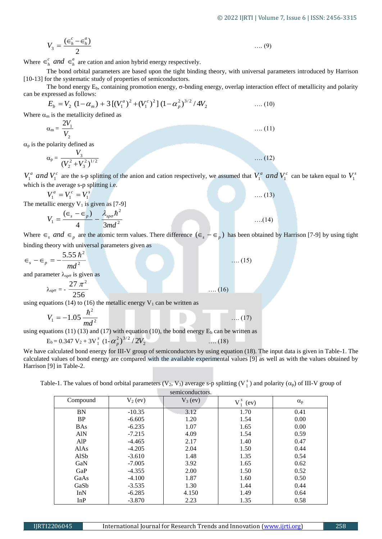$$
V_3 = \frac{(\epsilon_h^c - \epsilon_h^a)}{2} \qquad \qquad \dots (9)
$$

Where  $\in_{h}^{c}$  *and*  $\in_{h}^{a}$  are cation and anion hybrid energy respectively.

The bond orbital parameters are based upon the tight binding theory, with universal parameters introduced by Harrison [10-13] for the systematic study of properties of semiconductors.

The bond energy  $E_b$ , containing promotion energy,  $\sigma$ -bnding energy, overlap interaction effect of metallicity and polarity can be expressed as follows:

$$
E_b = V_2 (1 - \alpha_m) + 3 [(V_1^a)^2 + (V_1^c)^2] (1 - \alpha_p^2)^{3/2} / 4V_2
$$
 .... (10)

Where  $\alpha_m$  is the metallicity defined as

$$
\alpha_{\rm m} = \frac{2V_1}{V_2} \tag{11}
$$

 $\alpha_p$  is the polarity defined as

$$
\alpha_{\rm p} = \frac{V_3}{\left(V_2^2 + V_3^2\right)^{1/2}} \tag{12}
$$

 $V_1^a$  *and*  $V_1^c$  are the s-p splitting of the anion and cation respectively, we assumed that  $V_1^a$  *and*  $V_1^c$  can be taken equal to  $V_1^s$ which is the average s-p splitting i.e.

$$
V_1^a = V_1^c = V_1^s \tag{13}
$$

The metallic energy  $V_1$  is given as [7-9]

$$
V_1 = \frac{(\epsilon_s - \epsilon_p)}{4} - \frac{\lambda_{sp\sigma} \hbar^2}{3md^2} \tag{14}
$$

Where  $\epsilon_s$  *and*  $\epsilon_p$  are the atomic term values. There difference  $(\epsilon_s - \epsilon_p)$  has been obtained by Harrison [7-9] by using tight binding theory with universal parameters given as

$$
\epsilon_s - \epsilon_p = -\frac{5.55 \, \hbar^2}{md^2} \tag{15}
$$

and parameter  $\lambda_{\text{sp}}$  is given as

$$
\lambda_{\rm sp\sigma} = -\frac{27 \pi^2}{256} \qquad \qquad \dots (1)
$$

using equations (14) to (16) the metallic energy  $V_1$  can be written as

$$
V_1 = -1.05 \frac{\hbar^2}{md^2} \tag{17}
$$

$$
E_b = 0.347 V_2 + 3V_1^s (1 - \alpha_p^2)^{3/2} / 2V_2
$$
 (18)

We have calculated bond energy for III-V group of semiconductors by using equation (18). The input data is given in Table-1. The calculated values of bond energy are compared with the available experimental values [9] as well as with the values obtained by Harrison [9] in Table-2.

Table-1. The values of bond orbital parameters (V<sub>2</sub>, V<sub>3</sub>) average s-p splitting (V<sub>1</sub><sup>5</sup>) and polarity ( $\alpha_p$ ) of III-V group of

| ere $\in_{h}^{c}$ and $\in_{h}^{a}$ are cation and anion hybrid energy respectively.                                                                                                 |                      |                 |              |                  |
|--------------------------------------------------------------------------------------------------------------------------------------------------------------------------------------|----------------------|-----------------|--------------|------------------|
| The bond orbital parameters are based upon the tight binding theory, with universal parameters introduced by Har                                                                     |                      |                 |              |                  |
| 13] for the systematic study of properties of semiconductors.                                                                                                                        |                      |                 |              |                  |
| The bond energy $E_b$ , containing promotion energy, $\sigma$ -bnding energy, overlap interaction effect of metallicity and pol                                                      |                      |                 |              |                  |
| be expressed as follows:                                                                                                                                                             |                      |                 |              |                  |
| $E_b = V_2 (1 - \alpha_m) + 3 [(V_1^a)^2 + (V_1^c)^2] (1 - \alpha_n^2)^{3/2} / 4V_2$                                                                                                 |                      |                 | $(10)$       |                  |
| ere $\alpha_m$ is the metallicity defined as                                                                                                                                         |                      |                 |              |                  |
|                                                                                                                                                                                      |                      |                 |              |                  |
| $\alpha_{\rm m} = \frac{2V_1}{V_2}$                                                                                                                                                  |                      |                 | $(11)$       |                  |
|                                                                                                                                                                                      |                      |                 |              |                  |
| s the polarity defined as                                                                                                                                                            |                      |                 |              |                  |
| $\alpha_p = \frac{V_3}{(V_2^2 + V_2^2)^{1/2}}$                                                                                                                                       |                      |                 | $(12)$       |                  |
|                                                                                                                                                                                      |                      |                 |              |                  |
| and $V_1^c$ are the s-p splitting of the anion and cation respectively, we assumed that $V_1^a$ and $V_1^c$ can be taken equal to                                                    |                      |                 |              |                  |
| ch is the average s-p splitting i.e.                                                                                                                                                 |                      |                 |              |                  |
| $V_1^a = V_1^c = V_1^s$                                                                                                                                                              |                      |                 |              |                  |
|                                                                                                                                                                                      |                      |                 | $(13)$       |                  |
| metallic energy $V_1$ is given as [7-9]                                                                                                                                              |                      |                 |              |                  |
| $V_1 = \frac{(\epsilon_s - \epsilon_p)}{4} - \frac{\lambda_{sp\sigma}\hbar^2}{3md^2}$                                                                                                |                      |                 | $\dots(14)$  |                  |
|                                                                                                                                                                                      |                      |                 |              |                  |
| ere $\epsilon_s$ and $\epsilon_p$ are the atomic term values. There difference $(\epsilon_s - \epsilon_p)$ has been obtained by Harrison [7-9] by using                              |                      |                 |              |                  |
| ling theory with universal parameters given as                                                                                                                                       |                      |                 |              |                  |
|                                                                                                                                                                                      |                      |                 |              |                  |
| $-\epsilon_p = -\frac{5.55 \hbar^2}{md^2}$                                                                                                                                           |                      |                 | $\dots(15)$  |                  |
|                                                                                                                                                                                      |                      |                 |              |                  |
| parameter $\lambda_{\text{sp}\sigma}$ is given as                                                                                                                                    |                      |                 |              |                  |
|                                                                                                                                                                                      |                      |                 |              |                  |
| $λspσ = -\frac{27 \pi^2}{256}$                                                                                                                                                       |                      | $(16)$          |              |                  |
| g equations (14) to (16) the metallic energy $V_1$ can be written as                                                                                                                 |                      |                 |              |                  |
|                                                                                                                                                                                      |                      |                 |              |                  |
| $V_1 = -1.05 \frac{\hbar^2}{md^2}$                                                                                                                                                   |                      |                 | $(17)$       |                  |
|                                                                                                                                                                                      |                      |                 |              |                  |
| g equations (11) (13) and (17) with equation (10), the bond energy $E_b$ can be written as                                                                                           |                      |                 |              |                  |
| $E_b = 0.347 V_2 + 3V_1^s (1 - \alpha_p^2)^{3/2}/2V_2$                                                                                                                               |                      | $\dots(18)$     |              |                  |
| have calculated bond energy for III-V group of semiconductors by using equation (18). The input data is given in Table-1                                                             |                      |                 |              |                  |
| ulated values of bond energy are compared with the available experimental values [9] as well as with the values obtaine                                                              |                      |                 |              |                  |
| rison [9] in Table-2.                                                                                                                                                                |                      |                 |              |                  |
|                                                                                                                                                                                      |                      |                 |              |                  |
| Table-1. The values of bond orbital parameters (V <sub>2</sub> , V <sub>3</sub> ) average s-p splitting (V <sub>1</sub> <sup>5</sup> ) and polarity ( $\alpha_p$ ) of III-V group of |                      |                 |              |                  |
|                                                                                                                                                                                      |                      | semiconductors. |              |                  |
| Compound                                                                                                                                                                             | $V_2$ (ev)           | $V_3$ (ev)      | $V_1^s$ (ev) | $\alpha_{\rm p}$ |
| <b>BN</b>                                                                                                                                                                            | $-10.35$             | 3.12            | 1.70         | 0.41             |
| $\rm BP$                                                                                                                                                                             | $-6.605$             | 1.20            | 1.54         | 0.00             |
| <b>BAs</b>                                                                                                                                                                           | $-6.235$             | 1.07            | 1.65         | 0.00             |
| AlN                                                                                                                                                                                  | $-7.215$             | 4.09            | 1.54         | 0.59             |
| AlP                                                                                                                                                                                  | $-4.465$             | 2.17            | 1.40         | 0.47             |
| AlAs                                                                                                                                                                                 | $-4.205$             | 2.04            | 1.50         | 0.44             |
| AlSb<br>GaN                                                                                                                                                                          | $-3.610$<br>$-7.005$ | 1.48<br>3.92    | 1.35<br>1.65 | 0.54<br>0.62     |
|                                                                                                                                                                                      | $-4.355$             | 2.00            | 1.50         | 0.52             |
|                                                                                                                                                                                      |                      |                 |              |                  |
| GaP                                                                                                                                                                                  |                      |                 |              |                  |
| GaAs<br>GaSb                                                                                                                                                                         | $-4.100$<br>$-3.535$ | 1.87<br>1.30    | 1.60<br>1.44 | 0.50<br>0.44     |
| InN                                                                                                                                                                                  | $-6.285$<br>$-3.870$ | 4.150<br>2.23   | 1.49         | 0.64<br>0.58     |